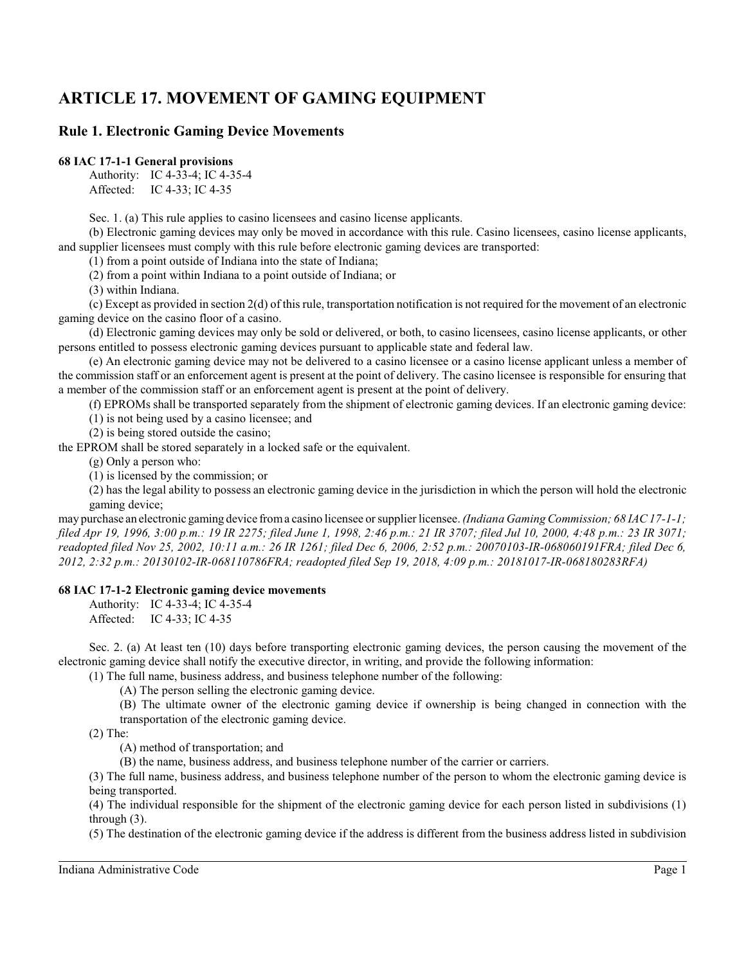# **ARTICLE 17. MOVEMENT OF GAMING EQUIPMENT**

## **Rule 1. Electronic Gaming Device Movements**

#### **68 IAC 17-1-1 General provisions**

Authority: IC 4-33-4; IC 4-35-4 Affected: IC 4-33; IC 4-35

Sec. 1. (a) This rule applies to casino licensees and casino license applicants.

(b) Electronic gaming devices may only be moved in accordance with this rule. Casino licensees, casino license applicants, and supplier licensees must comply with this rule before electronic gaming devices are transported:

(1) from a point outside of Indiana into the state of Indiana;

(2) from a point within Indiana to a point outside of Indiana; or

(3) within Indiana.

(c) Except as provided in section 2(d) of this rule, transportation notification is not required for the movement of an electronic gaming device on the casino floor of a casino.

(d) Electronic gaming devices may only be sold or delivered, or both, to casino licensees, casino license applicants, or other persons entitled to possess electronic gaming devices pursuant to applicable state and federal law.

(e) An electronic gaming device may not be delivered to a casino licensee or a casino license applicant unless a member of the commission staff or an enforcement agent is present at the point of delivery. The casino licensee is responsible for ensuring that a member of the commission staff or an enforcement agent is present at the point of delivery.

(f) EPROMs shall be transported separately from the shipment of electronic gaming devices. If an electronic gaming device:

(1) is not being used by a casino licensee; and

(2) is being stored outside the casino;

the EPROM shall be stored separately in a locked safe or the equivalent.

(g) Only a person who:

(1) is licensed by the commission; or

(2) has the legal ability to possess an electronic gaming device in the jurisdiction in which the person will hold the electronic gaming device;

may purchase an electronic gaming device froma casino licensee or supplier licensee. *(Indiana GamingCommission; 68 IAC 17-1-1; filed Apr 19, 1996, 3:00 p.m.: 19 IR 2275; filed June 1, 1998, 2:46 p.m.: 21 IR 3707; filed Jul 10, 2000, 4:48 p.m.: 23 IR 3071; readopted filed Nov 25, 2002, 10:11 a.m.: 26 IR 1261; filed Dec 6, 2006, 2:52 p.m.: 20070103-IR-068060191FRA; filed Dec 6, 2012, 2:32 p.m.: 20130102-IR-068110786FRA; readopted filed Sep 19, 2018, 4:09 p.m.: 20181017-IR-068180283RFA)*

## **68 IAC 17-1-2 Electronic gaming device movements**

Authority: IC 4-33-4; IC 4-35-4 Affected: IC 4-33; IC 4-35

Sec. 2. (a) At least ten (10) days before transporting electronic gaming devices, the person causing the movement of the electronic gaming device shall notify the executive director, in writing, and provide the following information:

(1) The full name, business address, and business telephone number of the following:

(A) The person selling the electronic gaming device.

(B) The ultimate owner of the electronic gaming device if ownership is being changed in connection with the transportation of the electronic gaming device.

(2) The:

(A) method of transportation; and

(B) the name, business address, and business telephone number of the carrier or carriers.

(3) The full name, business address, and business telephone number of the person to whom the electronic gaming device is being transported.

(4) The individual responsible for the shipment of the electronic gaming device for each person listed in subdivisions (1) through (3).

(5) The destination of the electronic gaming device if the address is different from the business address listed in subdivision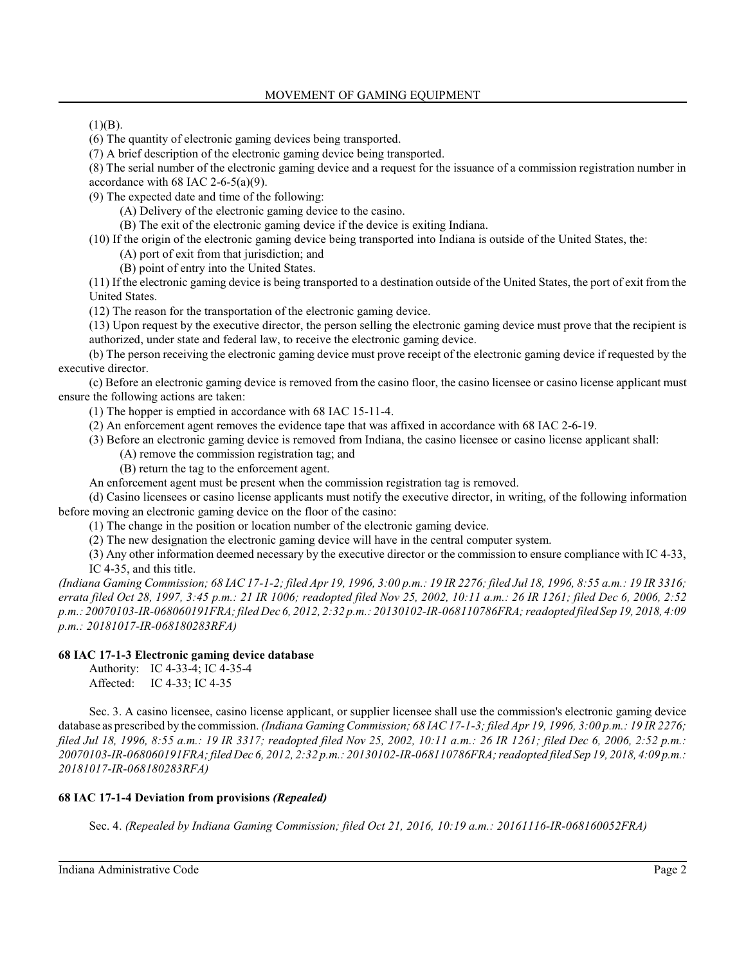$(1)(B)$ .

(6) The quantity of electronic gaming devices being transported.

(7) A brief description of the electronic gaming device being transported.

(8) The serial number of the electronic gaming device and a request for the issuance of a commission registration number in accordance with 68 IAC 2-6-5(a)(9).

(9) The expected date and time of the following:

(A) Delivery of the electronic gaming device to the casino.

(B) The exit of the electronic gaming device if the device is exiting Indiana.

(10) If the origin of the electronic gaming device being transported into Indiana is outside of the United States, the:

(A) port of exit from that jurisdiction; and

(B) point of entry into the United States.

(11) If the electronic gaming device is being transported to a destination outside of the United States, the port of exit from the United States.

(12) The reason for the transportation of the electronic gaming device.

(13) Upon request by the executive director, the person selling the electronic gaming device must prove that the recipient is authorized, under state and federal law, to receive the electronic gaming device.

(b) The person receiving the electronic gaming device must prove receipt of the electronic gaming device if requested by the executive director.

(c) Before an electronic gaming device is removed from the casino floor, the casino licensee or casino license applicant must ensure the following actions are taken:

(1) The hopper is emptied in accordance with 68 IAC 15-11-4.

(2) An enforcement agent removes the evidence tape that was affixed in accordance with 68 IAC 2-6-19.

(3) Before an electronic gaming device is removed from Indiana, the casino licensee or casino license applicant shall:

(A) remove the commission registration tag; and

(B) return the tag to the enforcement agent.

An enforcement agent must be present when the commission registration tag is removed.

(d) Casino licensees or casino license applicants must notify the executive director, in writing, of the following information before moving an electronic gaming device on the floor of the casino:

(1) The change in the position or location number of the electronic gaming device.

(2) The new designation the electronic gaming device will have in the central computer system.

(3) Any other information deemed necessary by the executive director or the commission to ensure compliance with IC 4-33, IC 4-35, and this title.

*(Indiana Gaming Commission; 68 IAC 17-1-2; filed Apr 19, 1996, 3:00 p.m.: 19 IR 2276; filed Jul 18, 1996, 8:55 a.m.: 19 IR 3316; errata filed Oct 28, 1997, 3:45 p.m.: 21 IR 1006; readopted filed Nov 25, 2002, 10:11 a.m.: 26 IR 1261; filed Dec 6, 2006, 2:52 p.m.: 20070103-IR-068060191FRA; filed Dec 6, 2012, 2:32 p.m.: 20130102-IR-068110786FRA; readopted filed Sep 19, 2018, 4:09 p.m.: 20181017-IR-068180283RFA)*

## **68 IAC 17-1-3 Electronic gaming device database**

Authority: IC 4-33-4; IC 4-35-4 Affected: IC 4-33; IC 4-35

Sec. 3. A casino licensee, casino license applicant, or supplier licensee shall use the commission's electronic gaming device database as prescribed by the commission. *(Indiana Gaming Commission; 68 IAC 17-1-3; filed Apr 19, 1996, 3:00 p.m.: 19 IR 2276; filed Jul 18, 1996, 8:55 a.m.: 19 IR 3317; readopted filed Nov 25, 2002, 10:11 a.m.: 26 IR 1261; filed Dec 6, 2006, 2:52 p.m.: 20070103-IR-068060191FRA; filed Dec 6, 2012, 2:32 p.m.: 20130102-IR-068110786FRA; readopted filed Sep 19, 2018, 4:09 p.m.: 20181017-IR-068180283RFA)*

## **68 IAC 17-1-4 Deviation from provisions** *(Repealed)*

Sec. 4. *(Repealed by Indiana Gaming Commission; filed Oct 21, 2016, 10:19 a.m.: 20161116-IR-068160052FRA)*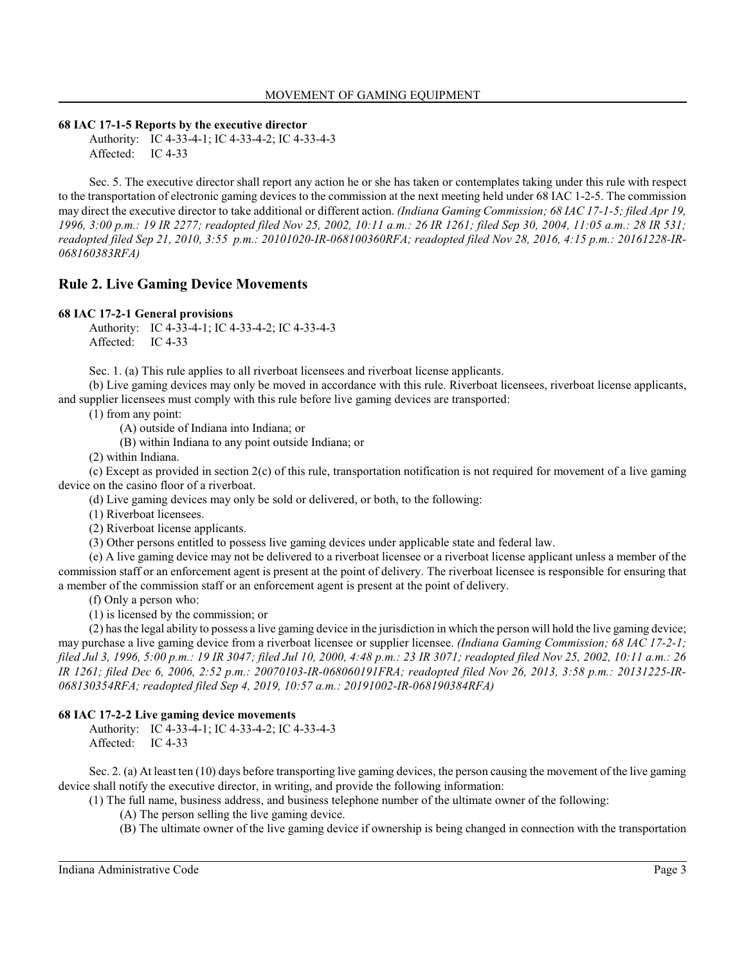**68 IAC 17-1-5 Reports by the executive director**

Authority: IC 4-33-4-1; IC 4-33-4-2; IC 4-33-4-3 Affected: IC 4-33

Sec. 5. The executive director shall report any action he or she has taken or contemplates taking under this rule with respect to the transportation of electronic gaming devices to the commission at the next meeting held under 68 IAC 1-2-5. The commission may direct the executive director to take additional or different action. *(Indiana Gaming Commission; 68 IAC 17-1-5; filed Apr 19, 1996, 3:00 p.m.: 19 IR 2277; readopted filed Nov 25, 2002, 10:11 a.m.: 26 IR 1261; filed Sep 30, 2004, 11:05 a.m.: 28 IR 531; readopted filed Sep 21, 2010, 3:55 p.m.: 20101020-IR-068100360RFA; readopted filed Nov 28, 2016, 4:15 p.m.: 20161228-IR-068160383RFA)*

## **Rule 2. Live Gaming Device Movements**

#### **68 IAC 17-2-1 General provisions**

Authority: IC 4-33-4-1; IC 4-33-4-2; IC 4-33-4-3 Affected: IC 4-33

Sec. 1. (a) This rule applies to all riverboat licensees and riverboat license applicants.

(b) Live gaming devices may only be moved in accordance with this rule. Riverboat licensees, riverboat license applicants, and supplier licensees must comply with this rule before live gaming devices are transported:

(1) from any point:

(A) outside of Indiana into Indiana; or

(B) within Indiana to any point outside Indiana; or

(2) within Indiana.

(c) Except as provided in section 2(c) of this rule, transportation notification is not required for movement of a live gaming device on the casino floor of a riverboat.

(d) Live gaming devices may only be sold or delivered, or both, to the following:

(1) Riverboat licensees.

(2) Riverboat license applicants.

(3) Other persons entitled to possess live gaming devices under applicable state and federal law.

(e) A live gaming device may not be delivered to a riverboat licensee or a riverboat license applicant unless a member of the commission staff or an enforcement agent is present at the point of delivery. The riverboat licensee is responsible for ensuring that a member of the commission staff or an enforcement agent is present at the point of delivery.

(f) Only a person who:

(1) is licensed by the commission; or

(2) has the legal ability to possess a live gaming device in the jurisdiction in which the person will hold the live gaming device; may purchase a live gaming device from a riverboat licensee or supplier licensee. *(Indiana Gaming Commission; 68 IAC 17-2-1; filed Jul 3, 1996, 5:00 p.m.: 19 IR 3047; filed Jul 10, 2000, 4:48 p.m.: 23 IR 3071; readopted filed Nov 25, 2002, 10:11 a.m.: 26 IR 1261; filed Dec 6, 2006, 2:52 p.m.: 20070103-IR-068060191FRA; readopted filed Nov 26, 2013, 3:58 p.m.: 20131225-IR-068130354RFA; readopted filed Sep 4, 2019, 10:57 a.m.: 20191002-IR-068190384RFA)*

#### **68 IAC 17-2-2 Live gaming device movements**

Authority: IC 4-33-4-1; IC 4-33-4-2; IC 4-33-4-3 Affected: IC 4-33

Sec. 2. (a) At least ten (10) days before transporting live gaming devices, the person causing the movement of the live gaming device shall notify the executive director, in writing, and provide the following information:

(1) The full name, business address, and business telephone number of the ultimate owner of the following:

(A) The person selling the live gaming device.

(B) The ultimate owner of the live gaming device if ownership is being changed in connection with the transportation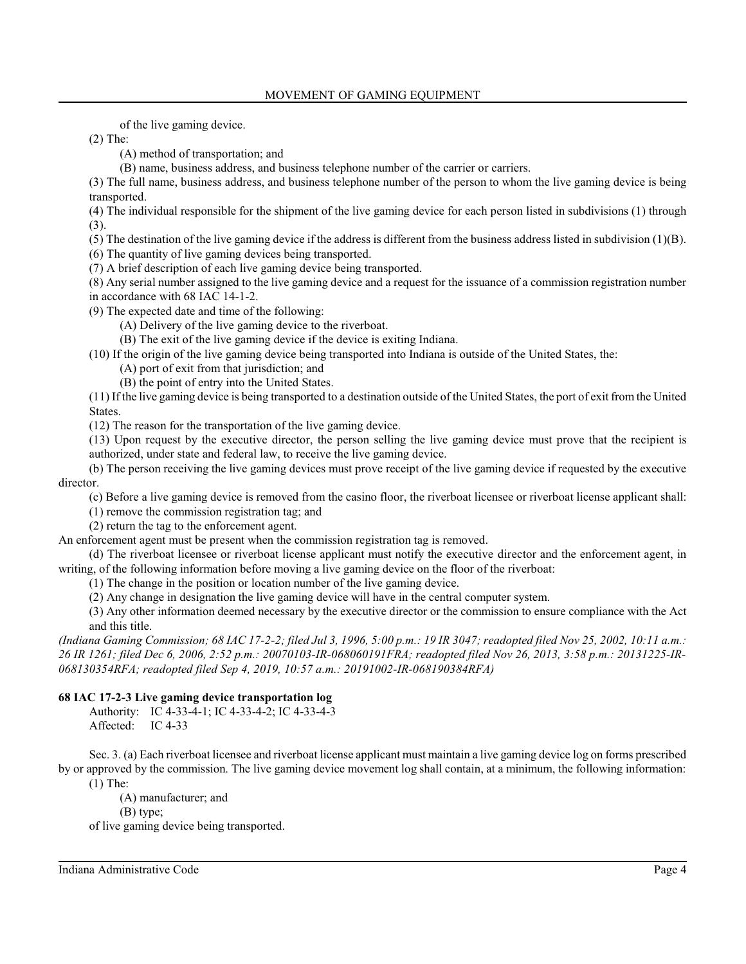of the live gaming device.

(2) The:

- (A) method of transportation; and
- (B) name, business address, and business telephone number of the carrier or carriers.

(3) The full name, business address, and business telephone number of the person to whom the live gaming device is being transported.

(4) The individual responsible for the shipment of the live gaming device for each person listed in subdivisions (1) through (3).

- (5) The destination of the live gaming device if the address is different from the business address listed in subdivision (1)(B).
- (6) The quantity of live gaming devices being transported.

(7) A brief description of each live gaming device being transported.

(8) Any serial number assigned to the live gaming device and a request for the issuance of a commission registration number in accordance with 68 IAC 14-1-2.

(9) The expected date and time of the following:

(A) Delivery of the live gaming device to the riverboat.

(B) The exit of the live gaming device if the device is exiting Indiana.

(10) If the origin of the live gaming device being transported into Indiana is outside of the United States, the:

(A) port of exit from that jurisdiction; and

(B) the point of entry into the United States.

(11) If the live gaming device is being transported to a destination outside of the United States, the port of exit from the United States.

(12) The reason for the transportation of the live gaming device.

(13) Upon request by the executive director, the person selling the live gaming device must prove that the recipient is authorized, under state and federal law, to receive the live gaming device.

(b) The person receiving the live gaming devices must prove receipt of the live gaming device if requested by the executive director.

(c) Before a live gaming device is removed from the casino floor, the riverboat licensee or riverboat license applicant shall:

(1) remove the commission registration tag; and

(2) return the tag to the enforcement agent.

An enforcement agent must be present when the commission registration tag is removed.

(d) The riverboat licensee or riverboat license applicant must notify the executive director and the enforcement agent, in writing, of the following information before moving a live gaming device on the floor of the riverboat:

(1) The change in the position or location number of the live gaming device.

(2) Any change in designation the live gaming device will have in the central computer system.

(3) Any other information deemed necessary by the executive director or the commission to ensure compliance with the Act and this title.

*(Indiana Gaming Commission; 68 IAC 17-2-2; filed Jul 3, 1996, 5:00 p.m.: 19 IR 3047; readopted filed Nov 25, 2002, 10:11 a.m.: 26 IR 1261; filed Dec 6, 2006, 2:52 p.m.: 20070103-IR-068060191FRA; readopted filed Nov 26, 2013, 3:58 p.m.: 20131225-IR-068130354RFA; readopted filed Sep 4, 2019, 10:57 a.m.: 20191002-IR-068190384RFA)*

## **68 IAC 17-2-3 Live gaming device transportation log**

Authority: IC 4-33-4-1; IC 4-33-4-2; IC 4-33-4-3 Affected: IC 4-33

Sec. 3. (a) Each riverboat licensee and riverboat license applicant must maintain a live gaming device log on forms prescribed by or approved by the commission. The live gaming device movement log shall contain, at a minimum, the following information: (1) The:

(A) manufacturer; and (B) type;

of live gaming device being transported.